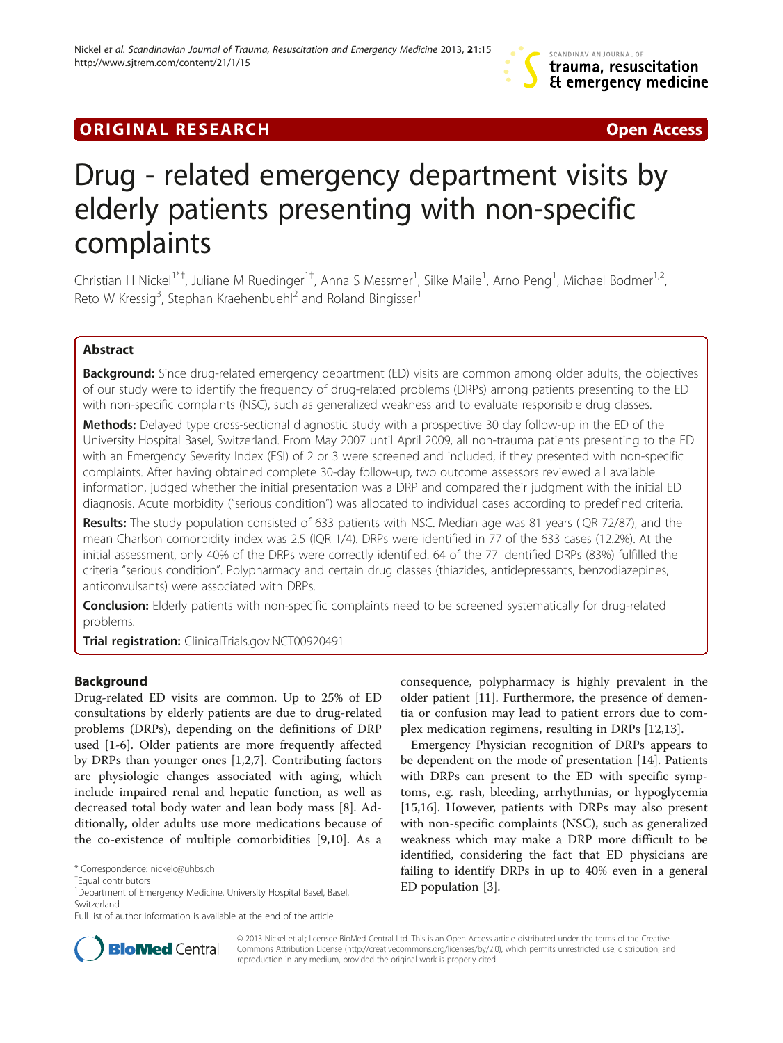## **ORIGINAL RESEARCH CONSUMING A RESEARCH CONSUMING A RESEARCH**

# Drug - related emergency department visits by elderly patients presenting with non-specific complaints

Christian H Nickel<sup>1\*†</sup>, Juliane M Ruedinger<sup>1†</sup>, Anna S Messmer<sup>1</sup>, Silke Maile<sup>1</sup>, Arno Peng<sup>1</sup>, Michael Bodmer<sup>1,2</sup>, Reto W Kressig<sup>3</sup>, Stephan Kraehenbuehl<sup>2</sup> and Roland Bingisser<sup>1</sup>

## Abstract

**Background:** Since drug-related emergency department (ED) visits are common among older adults, the objectives of our study were to identify the frequency of drug-related problems (DRPs) among patients presenting to the ED with non-specific complaints (NSC), such as generalized weakness and to evaluate responsible drug classes.

Methods: Delayed type cross-sectional diagnostic study with a prospective 30 day follow-up in the ED of the University Hospital Basel, Switzerland. From May 2007 until April 2009, all non-trauma patients presenting to the ED with an Emergency Severity Index (ESI) of 2 or 3 were screened and included, if they presented with non-specific complaints. After having obtained complete 30-day follow-up, two outcome assessors reviewed all available information, judged whether the initial presentation was a DRP and compared their judgment with the initial ED diagnosis. Acute morbidity ("serious condition") was allocated to individual cases according to predefined criteria.

Results: The study population consisted of 633 patients with NSC. Median age was 81 years (IQR 72/87), and the mean Charlson comorbidity index was 2.5 (IQR 1/4). DRPs were identified in 77 of the 633 cases (12.2%). At the initial assessment, only 40% of the DRPs were correctly identified. 64 of the 77 identified DRPs (83%) fulfilled the criteria "serious condition". Polypharmacy and certain drug classes (thiazides, antidepressants, benzodiazepines, anticonvulsants) were associated with DRPs.

**Conclusion:** Elderly patients with non-specific complaints need to be screened systematically for drug-related problems.

Trial registration: ClinicalTrials.gov:[NCT00920491](http://www.clinicaltrials.gov/NCT00920491)

## Background

Drug-related ED visits are common. Up to 25% of ED consultations by elderly patients are due to drug-related problems (DRPs), depending on the definitions of DRP used [[1-6](#page-6-0)]. Older patients are more frequently affected by DRPs than younger ones [[1,2,7](#page-6-0)]. Contributing factors are physiologic changes associated with aging, which include impaired renal and hepatic function, as well as decreased total body water and lean body mass [[8\]](#page-6-0). Additionally, older adults use more medications because of the co-existence of multiple comorbidities [[9,10\]](#page-6-0). As a

consequence, polypharmacy is highly prevalent in the older patient [\[11\]](#page-7-0). Furthermore, the presence of dementia or confusion may lead to patient errors due to complex medication regimens, resulting in DRPs [\[12,13](#page-7-0)].

Emergency Physician recognition of DRPs appears to be dependent on the mode of presentation [[14\]](#page-7-0). Patients with DRPs can present to the ED with specific symptoms, e.g. rash, bleeding, arrhythmias, or hypoglycemia [[15,16\]](#page-7-0). However, patients with DRPs may also present with non-specific complaints (NSC), such as generalized weakness which may make a DRP more difficult to be identified, considering the fact that ED physicians are failing to identify DRPs in up to 40% even in a general ED population [[3](#page-6-0)].



© 2013 Nickel et al.; licensee BioMed Central Ltd. This is an Open Access article distributed under the terms of the Creative Commons Attribution License [\(http://creativecommons.org/licenses/by/2.0\)](http://creativecommons.org/licenses/by/2.0), which permits unrestricted use, distribution, and reproduction in any medium, provided the original work is properly cited.

<sup>\*</sup> Correspondence: [nickelc@uhbs.ch](mailto:nickelc@uhbs.ch) †

Equal contributors

<sup>&</sup>lt;sup>1</sup> Department of Emergency Medicine, University Hospital Basel, Basel, Switzerland

Full list of author information is available at the end of the article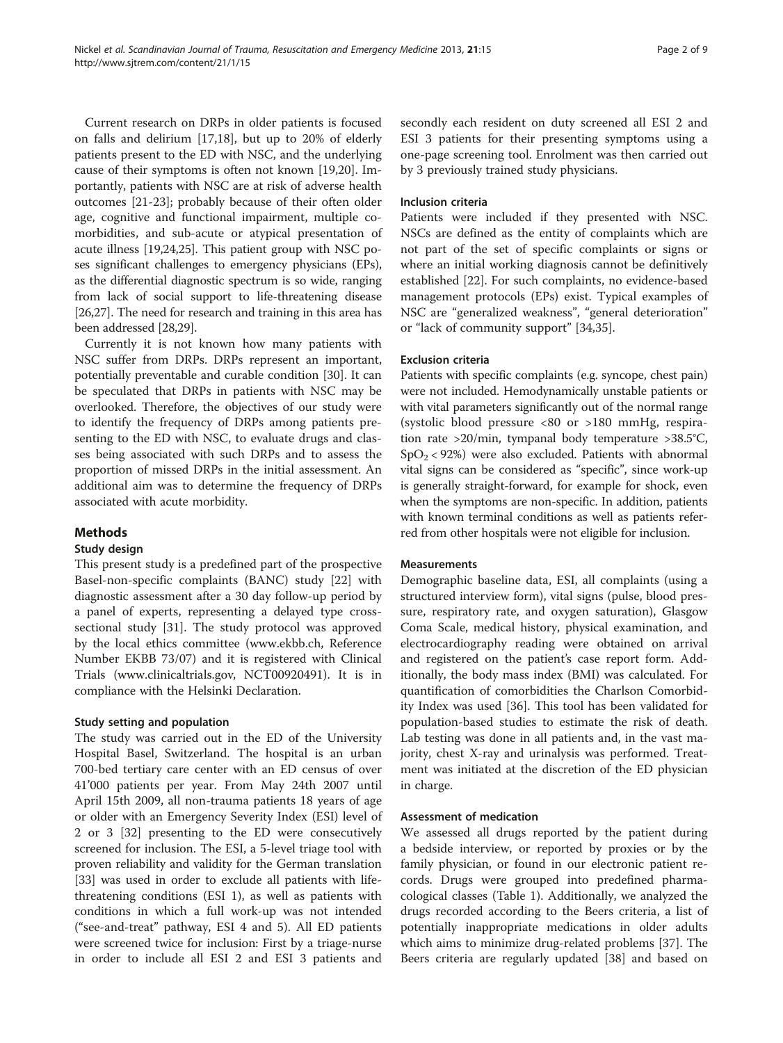Current research on DRPs in older patients is focused on falls and delirium [\[17,18](#page-7-0)], but up to 20% of elderly patients present to the ED with NSC, and the underlying cause of their symptoms is often not known [\[19,20](#page-7-0)]. Importantly, patients with NSC are at risk of adverse health outcomes [\[21-23](#page-7-0)]; probably because of their often older age, cognitive and functional impairment, multiple comorbidities, and sub-acute or atypical presentation of acute illness [\[19,24,25](#page-7-0)]. This patient group with NSC poses significant challenges to emergency physicians (EPs), as the differential diagnostic spectrum is so wide, ranging from lack of social support to life-threatening disease [[26,27](#page-7-0)]. The need for research and training in this area has been addressed [\[28,29\]](#page-7-0).

Currently it is not known how many patients with NSC suffer from DRPs. DRPs represent an important, potentially preventable and curable condition [[30\]](#page-7-0). It can be speculated that DRPs in patients with NSC may be overlooked. Therefore, the objectives of our study were to identify the frequency of DRPs among patients presenting to the ED with NSC, to evaluate drugs and classes being associated with such DRPs and to assess the proportion of missed DRPs in the initial assessment. An additional aim was to determine the frequency of DRPs associated with acute morbidity.

## Methods

## Study design

This present study is a predefined part of the prospective Basel-non-specific complaints (BANC) study [[22](#page-7-0)] with diagnostic assessment after a 30 day follow-up period by a panel of experts, representing a delayed type crosssectional study [[31\]](#page-7-0). The study protocol was approved by the local ethics committee ([www.ekbb.ch](http://www.ekbb.ch/), Reference Number EKBB 73/07) and it is registered with Clinical Trials ([www.clinicaltrials.gov,](http://www.clinicaltrials.gov/) NCT00920491). It is in compliance with the Helsinki Declaration.

## Study setting and population

The study was carried out in the ED of the University Hospital Basel, Switzerland. The hospital is an urban 700-bed tertiary care center with an ED census of over 41'000 patients per year. From May 24th 2007 until April 15th 2009, all non-trauma patients 18 years of age or older with an Emergency Severity Index (ESI) level of 2 or 3 [[32](#page-7-0)] presenting to the ED were consecutively screened for inclusion. The ESI, a 5-level triage tool with proven reliability and validity for the German translation [[33\]](#page-7-0) was used in order to exclude all patients with lifethreatening conditions (ESI 1), as well as patients with conditions in which a full work-up was not intended ("see-and-treat" pathway, ESI 4 and 5). All ED patients were screened twice for inclusion: First by a triage-nurse in order to include all ESI 2 and ESI 3 patients and

secondly each resident on duty screened all ESI 2 and ESI 3 patients for their presenting symptoms using a one-page screening tool. Enrolment was then carried out by 3 previously trained study physicians.

#### Inclusion criteria

Patients were included if they presented with NSC. NSCs are defined as the entity of complaints which are not part of the set of specific complaints or signs or where an initial working diagnosis cannot be definitively established [[22](#page-7-0)]. For such complaints, no evidence-based management protocols (EPs) exist. Typical examples of NSC are "generalized weakness", "general deterioration" or "lack of community support" [[34,35\]](#page-7-0).

#### Exclusion criteria

Patients with specific complaints (e.g. syncope, chest pain) were not included. Hemodynamically unstable patients or with vital parameters significantly out of the normal range (systolic blood pressure <80 or >180 mmHg, respiration rate >20/min, tympanal body temperature >38.5°C,  $SpO<sub>2</sub> < 92%)$  were also excluded. Patients with abnormal vital signs can be considered as "specific", since work-up is generally straight-forward, for example for shock, even when the symptoms are non-specific. In addition, patients with known terminal conditions as well as patients referred from other hospitals were not eligible for inclusion.

#### Measurements

Demographic baseline data, ESI, all complaints (using a structured interview form), vital signs (pulse, blood pressure, respiratory rate, and oxygen saturation), Glasgow Coma Scale, medical history, physical examination, and electrocardiography reading were obtained on arrival and registered on the patient's case report form. Additionally, the body mass index (BMI) was calculated. For quantification of comorbidities the Charlson Comorbidity Index was used [\[36](#page-7-0)]. This tool has been validated for population-based studies to estimate the risk of death. Lab testing was done in all patients and, in the vast majority, chest X-ray and urinalysis was performed. Treatment was initiated at the discretion of the ED physician in charge.

#### Assessment of medication

We assessed all drugs reported by the patient during a bedside interview, or reported by proxies or by the family physician, or found in our electronic patient records. Drugs were grouped into predefined pharmacological classes (Table [1](#page-2-0)). Additionally, we analyzed the drugs recorded according to the Beers criteria, a list of potentially inappropriate medications in older adults which aims to minimize drug-related problems [\[37](#page-7-0)]. The Beers criteria are regularly updated [\[38\]](#page-7-0) and based on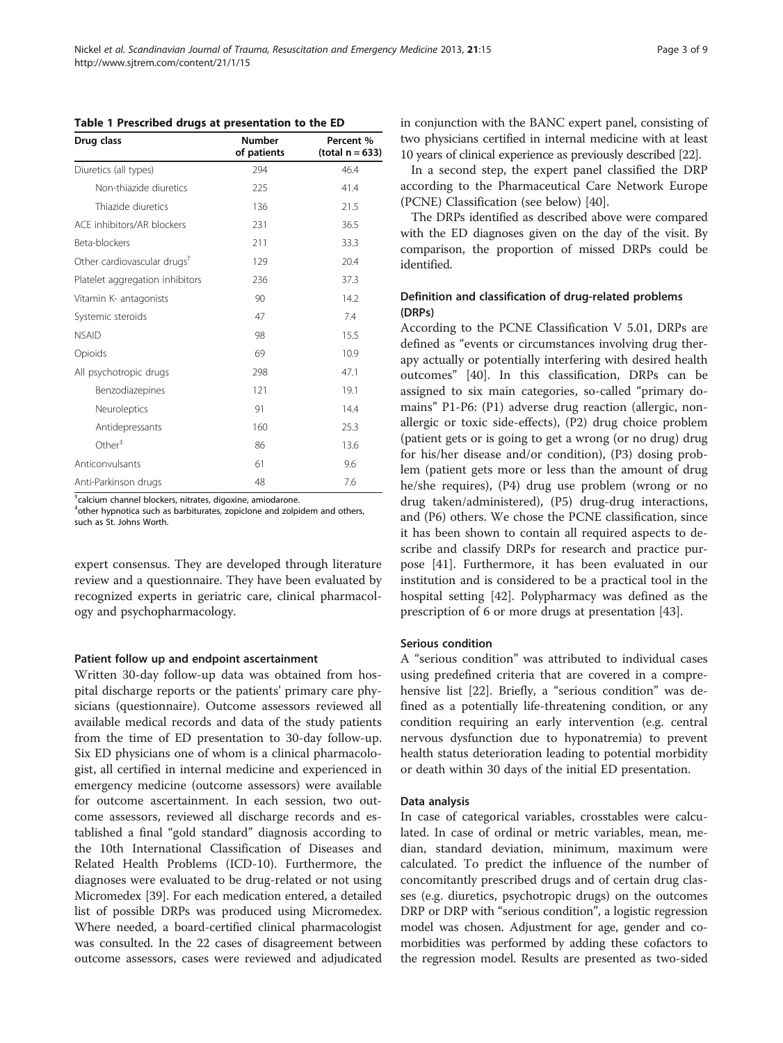| Drug class                              | <b>Number</b><br>of patients | Percent %<br>(total $n = 633$ ) |
|-----------------------------------------|------------------------------|---------------------------------|
| Diuretics (all types)                   | 294                          | 46.4                            |
| Non-thiazide diuretics                  | 225                          | 41.4                            |
| Thiazide diuretics                      | 136                          | 21.5                            |
| ACE inhibitors/AR blockers              | 231                          | 36.5                            |
| Beta-blockers                           | 211                          | 33.3                            |
| Other cardiovascular drugs <sup>†</sup> | 129                          | 20.4                            |
| Platelet aggregation inhibitors         | 236                          | 37.3                            |
| Vitamin K- antagonists                  | 90                           | 14.2                            |
| Systemic steroids                       | 47                           | 7.4                             |
| <b>NSAID</b>                            | 98                           | 15.5                            |
| Opioids                                 | 69                           | 10.9                            |
| All psychotropic drugs                  | 298                          | 47.1                            |
| Benzodiazepines                         | 121                          | 19.1                            |
| Neuroleptics                            | 91                           | 14.4                            |
| Antidepressants                         | 160                          | 25.3                            |
| Other <sup>†</sup>                      | 86                           | 13.6                            |
| Anticonvulsants                         | 61                           | 9.6                             |
| Anti-Parkinson drugs                    | 48                           | 7.6                             |

<span id="page-2-0"></span>Table 1 Prescribed drugs at presentation to the ED

† calcium channel blockers, nitrates, digoxine, amiodarone.

‡ other hypnotica such as barbiturates, zopiclone and zolpidem and others, such as St. Johns Worth.

expert consensus. They are developed through literature review and a questionnaire. They have been evaluated by recognized experts in geriatric care, clinical pharmacology and psychopharmacology.

#### Patient follow up and endpoint ascertainment

Written 30-day follow-up data was obtained from hospital discharge reports or the patients' primary care physicians (questionnaire). Outcome assessors reviewed all available medical records and data of the study patients from the time of ED presentation to 30-day follow-up. Six ED physicians one of whom is a clinical pharmacologist, all certified in internal medicine and experienced in emergency medicine (outcome assessors) were available for outcome ascertainment. In each session, two outcome assessors, reviewed all discharge records and established a final "gold standard" diagnosis according to the 10th International Classification of Diseases and Related Health Problems (ICD-10). Furthermore, the diagnoses were evaluated to be drug-related or not using Micromedex [[39](#page-7-0)]. For each medication entered, a detailed list of possible DRPs was produced using Micromedex. Where needed, a board-certified clinical pharmacologist was consulted. In the 22 cases of disagreement between outcome assessors, cases were reviewed and adjudicated in conjunction with the BANC expert panel, consisting of two physicians certified in internal medicine with at least 10 years of clinical experience as previously described [\[22\]](#page-7-0).

In a second step, the expert panel classified the DRP according to the Pharmaceutical Care Network Europe (PCNE) Classification (see below) [\[40](#page-7-0)].

The DRPs identified as described above were compared with the ED diagnoses given on the day of the visit. By comparison, the proportion of missed DRPs could be identified.

## Definition and classification of drug-related problems (DRPs)

According to the PCNE Classification V 5.01, DRPs are defined as "events or circumstances involving drug therapy actually or potentially interfering with desired health outcomes" [[40\]](#page-7-0). In this classification, DRPs can be assigned to six main categories, so-called "primary domains" P1-P6: (P1) adverse drug reaction (allergic, nonallergic or toxic side-effects), (P2) drug choice problem (patient gets or is going to get a wrong (or no drug) drug for his/her disease and/or condition), (P3) dosing problem (patient gets more or less than the amount of drug he/she requires), (P4) drug use problem (wrong or no drug taken/administered), (P5) drug-drug interactions, and (P6) others. We chose the PCNE classification, since it has been shown to contain all required aspects to describe and classify DRPs for research and practice purpose [[41\]](#page-7-0). Furthermore, it has been evaluated in our institution and is considered to be a practical tool in the hospital setting [\[42](#page-7-0)]. Polypharmacy was defined as the prescription of 6 or more drugs at presentation [[43](#page-7-0)].

#### Serious condition

A "serious condition" was attributed to individual cases using predefined criteria that are covered in a comprehensive list [[22](#page-7-0)]. Briefly, a "serious condition" was defined as a potentially life-threatening condition, or any condition requiring an early intervention (e.g. central nervous dysfunction due to hyponatremia) to prevent health status deterioration leading to potential morbidity or death within 30 days of the initial ED presentation.

#### Data analysis

In case of categorical variables, crosstables were calculated. In case of ordinal or metric variables, mean, median, standard deviation, minimum, maximum were calculated. To predict the influence of the number of concomitantly prescribed drugs and of certain drug classes (e.g. diuretics, psychotropic drugs) on the outcomes DRP or DRP with "serious condition", a logistic regression model was chosen. Adjustment for age, gender and comorbidities was performed by adding these cofactors to the regression model. Results are presented as two-sided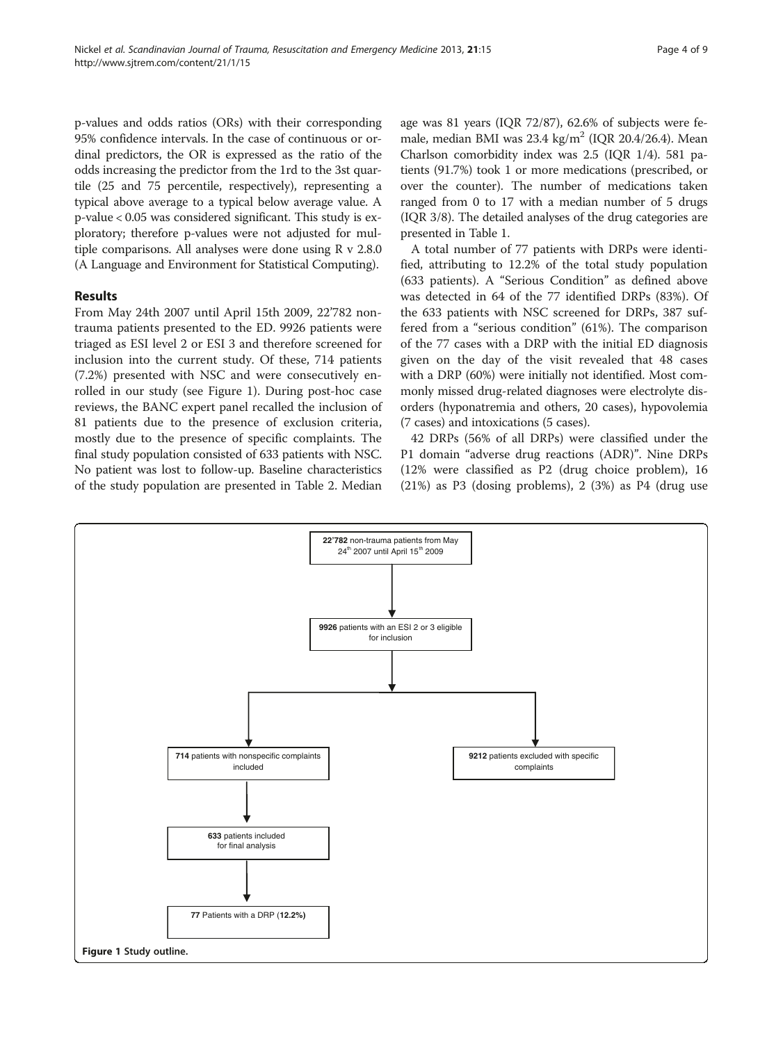p-values and odds ratios (ORs) with their corresponding 95% confidence intervals. In the case of continuous or ordinal predictors, the OR is expressed as the ratio of the odds increasing the predictor from the 1rd to the 3st quartile (25 and 75 percentile, respectively), representing a typical above average to a typical below average value. A p-value < 0.05 was considered significant. This study is exploratory; therefore p-values were not adjusted for multiple comparisons. All analyses were done using R v 2.8.0 (A Language and Environment for Statistical Computing).

## Results

From May 24th 2007 until April 15th 2009, 22'782 nontrauma patients presented to the ED. 9926 patients were triaged as ESI level 2 or ESI 3 and therefore screened for inclusion into the current study. Of these, 714 patients (7.2%) presented with NSC and were consecutively enrolled in our study (see Figure 1). During post-hoc case reviews, the BANC expert panel recalled the inclusion of 81 patients due to the presence of exclusion criteria, mostly due to the presence of specific complaints. The final study population consisted of 633 patients with NSC. No patient was lost to follow-up. Baseline characteristics of the study population are presented in Table [2](#page-4-0). Median age was 81 years (IQR 72/87), 62.6% of subjects were female, median BMI was  $23.4 \text{ kg/m}^2$  (IQR 20.4/26.4). Mean Charlson comorbidity index was 2.5 (IQR 1/4). 581 patients (91.7%) took 1 or more medications (prescribed, or over the counter). The number of medications taken ranged from 0 to 17 with a median number of 5 drugs (IQR 3/8). The detailed analyses of the drug categories are presented in Table [1.](#page-2-0)

A total number of 77 patients with DRPs were identified, attributing to 12.2% of the total study population (633 patients). A "Serious Condition" as defined above was detected in 64 of the 77 identified DRPs (83%). Of the 633 patients with NSC screened for DRPs, 387 suffered from a "serious condition" (61%). The comparison of the 77 cases with a DRP with the initial ED diagnosis given on the day of the visit revealed that 48 cases with a DRP (60%) were initially not identified. Most commonly missed drug-related diagnoses were electrolyte disorders (hyponatremia and others, 20 cases), hypovolemia (7 cases) and intoxications (5 cases).

42 DRPs (56% of all DRPs) were classified under the P1 domain "adverse drug reactions (ADR)". Nine DRPs (12% were classified as P2 (drug choice problem), 16 (21%) as P3 (dosing problems), 2 (3%) as P4 (drug use

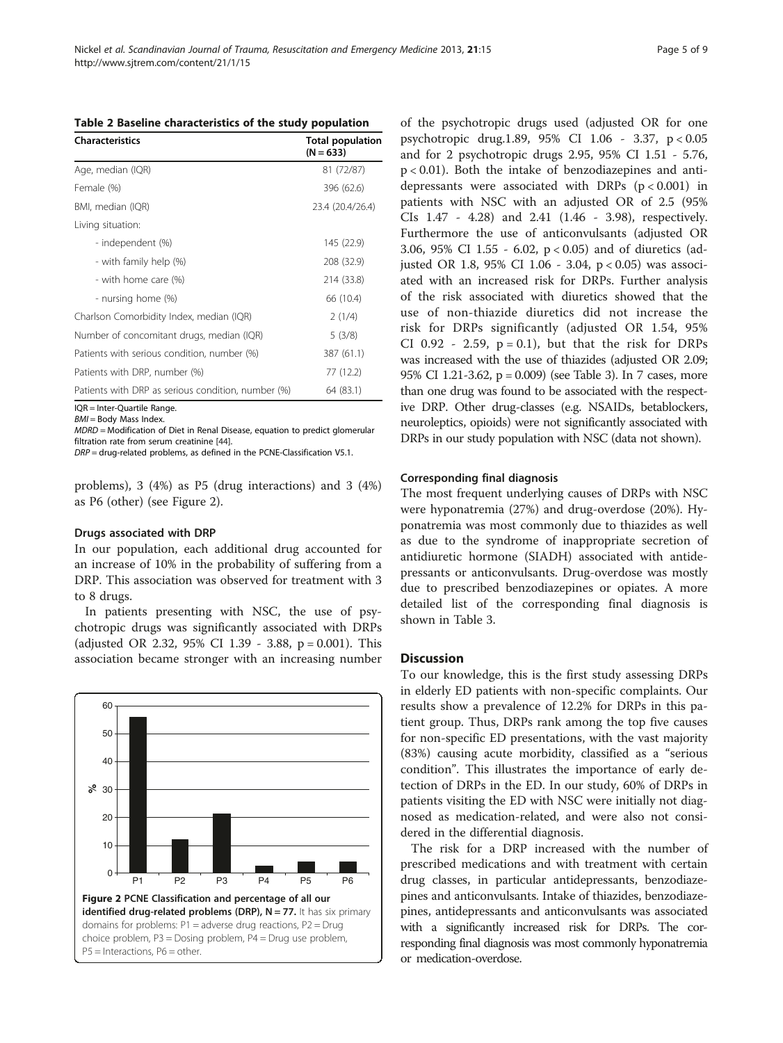<span id="page-4-0"></span>

| <b>Characteristics</b>                             | <b>Total population</b><br>$(N = 633)$ |
|----------------------------------------------------|----------------------------------------|
| Age, median (IQR)                                  | 81 (72/87)                             |
| Female (%)                                         | 396 (62.6)                             |
| BMI, median (IQR)                                  | 23.4 (20.4/26.4)                       |
| Living situation:                                  |                                        |
| - independent (%)                                  | 145 (22.9)                             |
| - with family help (%)                             | 208 (32.9)                             |
| - with home care (%)                               | 214 (33.8)                             |
| - nursing home (%)                                 | 66 (10.4)                              |
| Charlson Comorbidity Index, median (IQR)           | 2(1/4)                                 |
| Number of concomitant drugs, median (IQR)          | 5(3/8)                                 |
| Patients with serious condition, number (%)        | 387 (61.1)                             |
| Patients with DRP, number (%)                      | 77 (12.2)                              |
| Patients with DRP as serious condition, number (%) | 64 (83.1)                              |

IQR = Inter-Quartile Range.

**BMI** = Body Mass Index

MDRD = Modification of Diet in Renal Disease, equation to predict glomerular filtration rate from serum creatinine [\[44\]](#page-7-0).

DRP = drug-related problems, as defined in the PCNE-Classification V5.1.

problems), 3 (4%) as P5 (drug interactions) and 3 (4%) as P6 (other) (see Figure 2).

#### Drugs associated with DRP

In our population, each additional drug accounted for an increase of 10% in the probability of suffering from a DRP. This association was observed for treatment with 3 to 8 drugs.

In patients presenting with NSC, the use of psychotropic drugs was significantly associated with DRPs (adjusted OR 2.32, 95% CI 1.39 - 3.88, p = 0.001). This association became stronger with an increasing number



of the psychotropic drugs used (adjusted OR for one psychotropic drug.1.89, 95% CI 1.06 - 3.37, p < 0.05 and for 2 psychotropic drugs 2.95, 95% CI 1.51 - 5.76, p < 0.01). Both the intake of benzodiazepines and antidepressants were associated with DRPs  $(p < 0.001)$  in patients with NSC with an adjusted OR of 2.5 (95% CIs 1.47 - 4.28) and 2.41 (1.46 - 3.98), respectively. Furthermore the use of anticonvulsants (adjusted OR 3.06, 95% CI 1.55 - 6.02, p < 0.05) and of diuretics (adjusted OR 1.8, 95% CI 1.06 - 3.04, p < 0.05) was associated with an increased risk for DRPs. Further analysis of the risk associated with diuretics showed that the use of non-thiazide diuretics did not increase the risk for DRPs significantly (adjusted OR 1.54, 95% CI 0.92 - 2.59,  $p = 0.1$ ), but that the risk for DRPs was increased with the use of thiazides (adjusted OR 2.09; 95% CI 1.21-3.62, p = 0.009) (see Table [3](#page-5-0)). In 7 cases, more than one drug was found to be associated with the respective DRP. Other drug-classes (e.g. NSAIDs, betablockers, neuroleptics, opioids) were not significantly associated with DRPs in our study population with NSC (data not shown).

## Corresponding final diagnosis

The most frequent underlying causes of DRPs with NSC were hyponatremia (27%) and drug-overdose (20%). Hyponatremia was most commonly due to thiazides as well as due to the syndrome of inappropriate secretion of antidiuretic hormone (SIADH) associated with antidepressants or anticonvulsants. Drug-overdose was mostly due to prescribed benzodiazepines or opiates. A more detailed list of the corresponding final diagnosis is shown in Table [3.](#page-5-0)

#### **Discussion**

To our knowledge, this is the first study assessing DRPs in elderly ED patients with non-specific complaints. Our results show a prevalence of 12.2% for DRPs in this patient group. Thus, DRPs rank among the top five causes for non-specific ED presentations, with the vast majority (83%) causing acute morbidity, classified as a "serious condition". This illustrates the importance of early detection of DRPs in the ED. In our study, 60% of DRPs in patients visiting the ED with NSC were initially not diagnosed as medication-related, and were also not considered in the differential diagnosis.

The risk for a DRP increased with the number of prescribed medications and with treatment with certain drug classes, in particular antidepressants, benzodiazepines and anticonvulsants. Intake of thiazides, benzodiazepines, antidepressants and anticonvulsants was associated with a significantly increased risk for DRPs. The corresponding final diagnosis was most commonly hyponatremia or medication-overdose.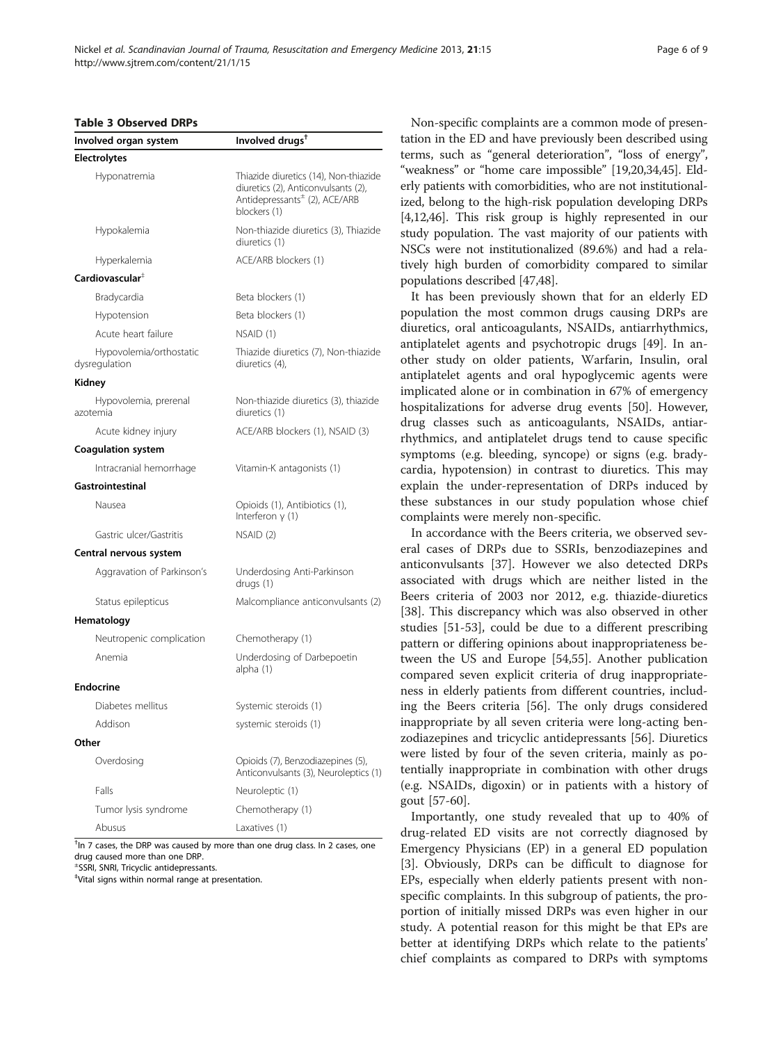#### <span id="page-5-0"></span>Table 3 Observed DRPs

| Involved organ system                    | Involved drugs <sup>+</sup>                                                                                                               |  |
|------------------------------------------|-------------------------------------------------------------------------------------------------------------------------------------------|--|
| <b>Electrolytes</b>                      |                                                                                                                                           |  |
| Hyponatremia                             | Thiazide diuretics (14), Non-thiazide<br>diuretics (2), Anticonvulsants (2),<br>Antidepressants <sup>±</sup> (2), ACE/ARB<br>blockers (1) |  |
| Hypokalemia                              | Non-thiazide diuretics (3), Thiazide<br>diuretics (1)                                                                                     |  |
| Hyperkalemia                             | ACE/ARB blockers (1)                                                                                                                      |  |
| Cardiovascular <sup>#</sup>              |                                                                                                                                           |  |
| Bradycardia                              | Beta blockers (1)                                                                                                                         |  |
| Hypotension                              | Beta blockers (1)                                                                                                                         |  |
| Acute heart failure                      | NSAID (1)                                                                                                                                 |  |
| Hypovolemia/orthostatic<br>dysregulation | Thiazide diuretics (7), Non-thiazide<br>diuretics (4),                                                                                    |  |
| Kidney                                   |                                                                                                                                           |  |
| Hypovolemia, prerenal<br>azotemia        | Non-thiazide diuretics (3), thiazide<br>diuretics (1)                                                                                     |  |
| Acute kidney injury                      | ACE/ARB blockers (1), NSAID (3)                                                                                                           |  |
| <b>Coagulation system</b>                |                                                                                                                                           |  |
| Intracranial hemorrhage                  | Vitamin-K antagonists (1)                                                                                                                 |  |
| Gastrointestinal                         |                                                                                                                                           |  |
| Nausea                                   | Opioids (1), Antibiotics (1),<br>Interferon $y(1)$                                                                                        |  |
| Gastric ulcer/Gastritis                  | NSAID (2)                                                                                                                                 |  |
| Central nervous system                   |                                                                                                                                           |  |
| Aggravation of Parkinson's               | Underdosing Anti-Parkinson<br>drugs (1)                                                                                                   |  |
| Status epilepticus                       | Malcompliance anticonvulsants (2)                                                                                                         |  |
| Hematology                               |                                                                                                                                           |  |
| Neutropenic complication                 | Chemotherapy (1)                                                                                                                          |  |
| Anemia                                   | Underdosing of Darbepoetin<br>alpha (1)                                                                                                   |  |
| <b>Endocrine</b>                         |                                                                                                                                           |  |
| Diabetes mellitus                        | Systemic steroids (1)                                                                                                                     |  |
| Addison                                  | systemic steroids (1)                                                                                                                     |  |
| Other                                    |                                                                                                                                           |  |
| Overdosing                               | Opioids (7), Benzodiazepines (5),<br>Anticonvulsants (3), Neuroleptics (1)                                                                |  |
| Falls                                    | Neuroleptic (1)                                                                                                                           |  |
| Tumor lysis syndrome                     | Chemotherapy (1)                                                                                                                          |  |
| Abusus                                   | Laxatives (1)                                                                                                                             |  |

<sup>†</sup>In 7 cases, the DRP was caused by more than one drug class. In 2 cases, one drug caused more than one DRP.

± SSRI, SNRI, Tricyclic antidepressants.

‡ Vital signs within normal range at presentation.

Non-specific complaints are a common mode of presentation in the ED and have previously been described using terms, such as "general deterioration", "loss of energy", "weakness" or "home care impossible" [\[19,20,34,45](#page-7-0)]. Elderly patients with comorbidities, who are not institutionalized, belong to the high-risk population developing DRPs [[4,](#page-6-0)[12,46](#page-7-0)]. This risk group is highly represented in our study population. The vast majority of our patients with NSCs were not institutionalized (89.6%) and had a relatively high burden of comorbidity compared to similar populations described [[47,48](#page-7-0)].

It has been previously shown that for an elderly ED population the most common drugs causing DRPs are diuretics, oral anticoagulants, NSAIDs, antiarrhythmics, antiplatelet agents and psychotropic drugs [\[49\]](#page-7-0). In another study on older patients, Warfarin, Insulin, oral antiplatelet agents and oral hypoglycemic agents were implicated alone or in combination in 67% of emergency hospitalizations for adverse drug events [[50\]](#page-7-0). However, drug classes such as anticoagulants, NSAIDs, antiarrhythmics, and antiplatelet drugs tend to cause specific symptoms (e.g. bleeding, syncope) or signs (e.g. bradycardia, hypotension) in contrast to diuretics. This may explain the under-representation of DRPs induced by these substances in our study population whose chief complaints were merely non-specific.

In accordance with the Beers criteria, we observed several cases of DRPs due to SSRIs, benzodiazepines and anticonvulsants [[37](#page-7-0)]. However we also detected DRPs associated with drugs which are neither listed in the Beers criteria of 2003 nor 2012, e.g. thiazide-diuretics [[38\]](#page-7-0). This discrepancy which was also observed in other studies [\[51](#page-7-0)-[53\]](#page-7-0), could be due to a different prescribing pattern or differing opinions about inappropriateness between the US and Europe [[54,55\]](#page-8-0). Another publication compared seven explicit criteria of drug inappropriateness in elderly patients from different countries, including the Beers criteria [[56](#page-8-0)]. The only drugs considered inappropriate by all seven criteria were long-acting benzodiazepines and tricyclic antidepressants [\[56\]](#page-8-0). Diuretics were listed by four of the seven criteria, mainly as potentially inappropriate in combination with other drugs (e.g. NSAIDs, digoxin) or in patients with a history of gout [\[57-60](#page-8-0)].

Importantly, one study revealed that up to 40% of drug-related ED visits are not correctly diagnosed by Emergency Physicians (EP) in a general ED population [[3\]](#page-6-0). Obviously, DRPs can be difficult to diagnose for EPs, especially when elderly patients present with nonspecific complaints. In this subgroup of patients, the proportion of initially missed DRPs was even higher in our study. A potential reason for this might be that EPs are better at identifying DRPs which relate to the patients' chief complaints as compared to DRPs with symptoms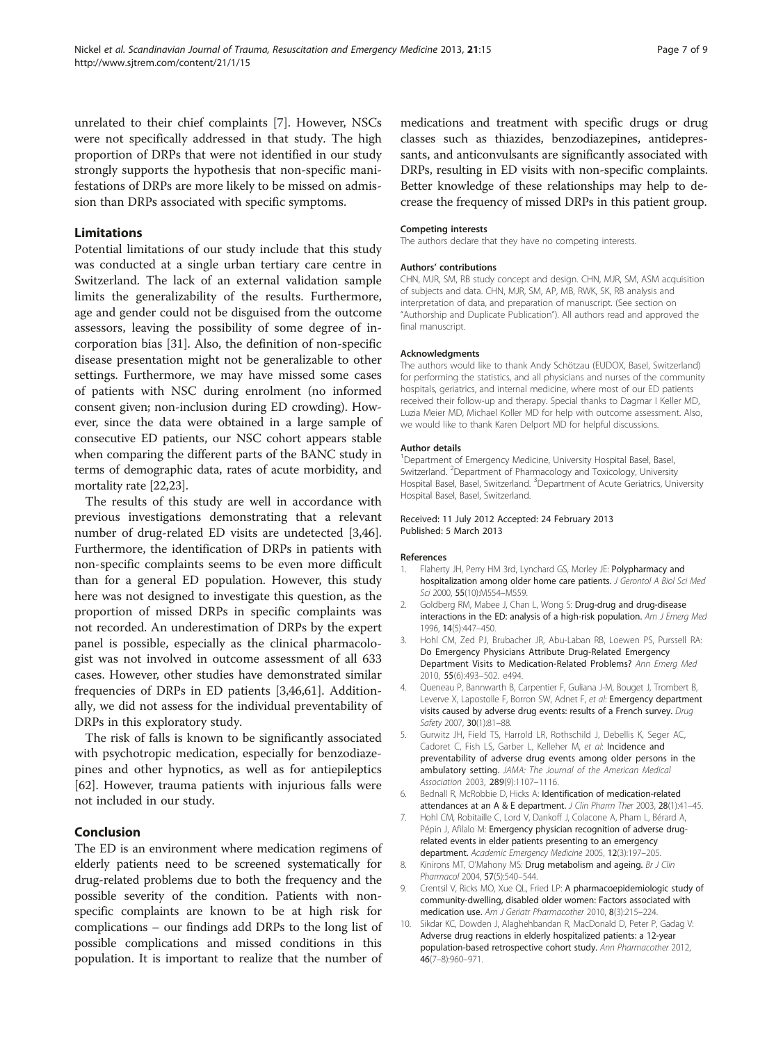<span id="page-6-0"></span>unrelated to their chief complaints [7]. However, NSCs were not specifically addressed in that study. The high proportion of DRPs that were not identified in our study strongly supports the hypothesis that non-specific manifestations of DRPs are more likely to be missed on admission than DRPs associated with specific symptoms.

## Limitations

Potential limitations of our study include that this study was conducted at a single urban tertiary care centre in Switzerland. The lack of an external validation sample limits the generalizability of the results. Furthermore, age and gender could not be disguised from the outcome assessors, leaving the possibility of some degree of incorporation bias [[31\]](#page-7-0). Also, the definition of non-specific disease presentation might not be generalizable to other settings. Furthermore, we may have missed some cases of patients with NSC during enrolment (no informed consent given; non-inclusion during ED crowding). However, since the data were obtained in a large sample of consecutive ED patients, our NSC cohort appears stable when comparing the different parts of the BANC study in terms of demographic data, rates of acute morbidity, and mortality rate [[22,23](#page-7-0)].

The results of this study are well in accordance with previous investigations demonstrating that a relevant number of drug-related ED visits are undetected [3[,46](#page-7-0)]. Furthermore, the identification of DRPs in patients with non-specific complaints seems to be even more difficult than for a general ED population. However, this study here was not designed to investigate this question, as the proportion of missed DRPs in specific complaints was not recorded. An underestimation of DRPs by the expert panel is possible, especially as the clinical pharmacologist was not involved in outcome assessment of all 633 cases. However, other studies have demonstrated similar frequencies of DRPs in ED patients [3,[46,](#page-7-0)[61\]](#page-8-0). Additionally, we did not assess for the individual preventability of DRPs in this exploratory study.

The risk of falls is known to be significantly associated with psychotropic medication, especially for benzodiazepines and other hypnotics, as well as for antiepileptics [[62\]](#page-8-0). However, trauma patients with injurious falls were not included in our study.

#### Conclusion

The ED is an environment where medication regimens of elderly patients need to be screened systematically for drug-related problems due to both the frequency and the possible severity of the condition. Patients with nonspecific complaints are known to be at high risk for complications – our findings add DRPs to the long list of possible complications and missed conditions in this population. It is important to realize that the number of medications and treatment with specific drugs or drug classes such as thiazides, benzodiazepines, antidepressants, and anticonvulsants are significantly associated with DRPs, resulting in ED visits with non-specific complaints. Better knowledge of these relationships may help to decrease the frequency of missed DRPs in this patient group.

#### Competing interests

The authors declare that they have no competing interests.

#### Authors' contributions

CHN, MJR, SM, RB study concept and design. CHN, MJR, SM, ASM acquisition of subjects and data. CHN, MJR, SM, AP, MB, RWK, SK, RB analysis and interpretation of data, and preparation of manuscript. (See section on "Authorship and Duplicate Publication"). All authors read and approved the final manuscript.

#### Acknowledgments

The authors would like to thank Andy Schötzau (EUDOX, Basel, Switzerland) for performing the statistics, and all physicians and nurses of the community hospitals, geriatrics, and internal medicine, where most of our ED patients received their follow-up and therapy. Special thanks to Dagmar I Keller MD, Luzia Meier MD, Michael Koller MD for help with outcome assessment. Also, we would like to thank Karen Delport MD for helpful discussions.

#### Author details

<sup>1</sup> Department of Emergency Medicine, University Hospital Basel, Basel, Switzerland. <sup>2</sup>Department of Pharmacology and Toxicology, University Hospital Basel, Basel, Switzerland. <sup>3</sup>Department of Acute Geriatrics, University Hospital Basel, Basel, Switzerland.

#### Received: 11 July 2012 Accepted: 24 February 2013 Published: 5 March 2013

#### References

- Flaherty JH, Perry HM 3rd, Lynchard GS, Morley JE: Polypharmacy and hospitalization among older home care patients. J Gerontol A Biol Sci Med Sci 2000, 55(10):M554–M559.
- 2. Goldberg RM, Mabee J, Chan L, Wong S: Drug-drug and drug-disease interactions in the ED: analysis of a high-risk population. Am J Emerg Med 1996, 14(5):447–450.
- 3. Hohl CM, Zed PJ, Brubacher JR, Abu-Laban RB, Loewen PS, Purssell RA: Do Emergency Physicians Attribute Drug-Related Emergency Department Visits to Medication-Related Problems? Ann Emerg Med 2010, 55(6):493–502. e494.
- 4. Queneau P, Bannwarth B, Carpentier F, Guliana J-M, Bouget J, Trombert B, Leverve X, Lapostolle F, Borron SW, Adnet F, et al: Emergency department visits caused by adverse drug events: results of a French survey. Drug Safety 2007, 30(1):81–88.
- 5. Gurwitz JH, Field TS, Harrold LR, Rothschild J, Debellis K, Seger AC, Cadoret C, Fish LS, Garber L, Kelleher M, et al: Incidence and preventability of adverse drug events among older persons in the ambulatory setting. JAMA: The Journal of the American Medical Association 2003, 289(9):1107–1116.
- 6. Bednall R, McRobbie D, Hicks A: Identification of medication-related attendances at an A & E department. J Clin Pharm Ther 2003, 28(1):41–45.
- 7. Hohl CM, Robitaille C, Lord V, Dankoff J, Colacone A, Pham L, Bérard A, Pépin J, Afilalo M: Emergency physician recognition of adverse drugrelated events in elder patients presenting to an emergency department. Academic Emergency Medicine 2005, 12(3):197–205.
- 8. Kinirons MT, O'Mahony MS: Drug metabolism and ageing. Br J Clin Pharmacol 2004, 57(5):540–544.
- 9. Crentsil V, Ricks MO, Xue QL, Fried LP: A pharmacoepidemiologic study of community-dwelling, disabled older women: Factors associated with medication use. Am J Geriatr Pharmacother 2010, 8(3):215–224.
- 10. Sikdar KC, Dowden J, Alaghehbandan R, MacDonald D, Peter P, Gadag V: Adverse drug reactions in elderly hospitalized patients: a 12-year population-based retrospective cohort study. Ann Pharmacother 2012, 46(7–8):960–971.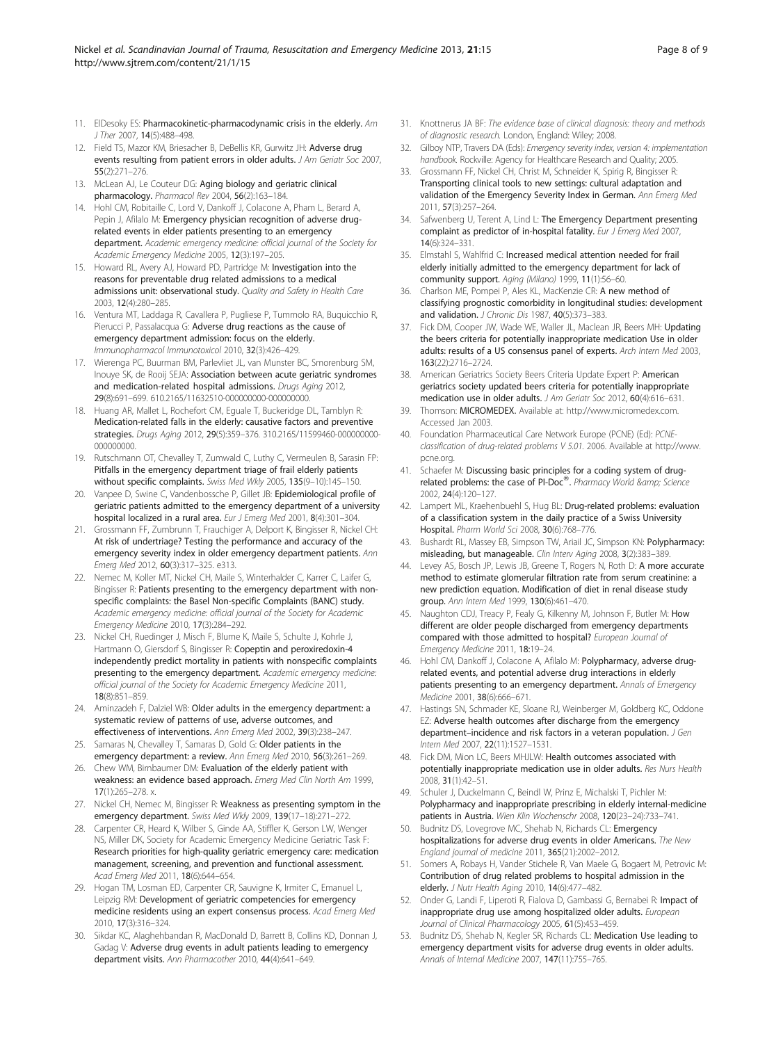- <span id="page-7-0"></span>11. ElDesoky ES: Pharmacokinetic-pharmacodynamic crisis in the elderly. Am J Ther 2007, 14(5):488–498.
- 12. Field TS, Mazor KM, Briesacher B, DeBellis KR, Gurwitz JH: Adverse drug events resulting from patient errors in older adults. J Am Geriatr Soc 2007, 55(2):271–276.
- 13. McLean AJ, Le Couteur DG: Aging biology and geriatric clinical pharmacology. Pharmacol Rev 2004, 56(2):163–184.
- 14. Hohl CM, Robitaille C, Lord V, Dankoff J, Colacone A, Pham L, Berard A, Pepin J, Afilalo M: Emergency physician recognition of adverse drugrelated events in elder patients presenting to an emergency department. Academic emergency medicine: official journal of the Society for Academic Emergency Medicine 2005, 12(3):197–205.
- 15. Howard RL, Avery AJ, Howard PD, Partridge M: Investigation into the reasons for preventable drug related admissions to a medical admissions unit: observational study. Quality and Safety in Health Care 2003, 12(4):280–285.
- 16. Ventura MT, Laddaga R, Cavallera P, Pugliese P, Tummolo RA, Buquicchio R, Pierucci P, Passalacqua G: Adverse drug reactions as the cause of emergency department admission: focus on the elderly. Immunopharmacol Immunotoxicol 2010, 32(3):426–429.
- 17. Wierenga PC, Buurman BM, Parlevliet JL, van Munster BC, Smorenburg SM, Inouye SK, de Rooij SEJA: Association between acute geriatric syndromes and medication-related hospital admissions. Drugs Aging 2012, 29(8):691–699. 610.2165/11632510-000000000-000000000.
- Huang AR, Mallet L, Rochefort CM, Equale T, Buckeridge DL, Tamblyn R: Medication-related falls in the elderly: causative factors and preventive strategies. Drugs Aging 2012, 29(5):359–376. 310.2165/11599460-000000000- 000000000.
- 19. Rutschmann OT, Chevalley T, Zumwald C, Luthy C, Vermeulen B, Sarasin FP: Pitfalls in the emergency department triage of frail elderly patients without specific complaints. Swiss Med Wkly 2005, 135(9–10):145–150.
- 20. Vanpee D, Swine C, Vandenbossche P, Gillet JB: Epidemiological profile of geriatric patients admitted to the emergency department of a university hospital localized in a rural area. Eur J Emerg Med 2001, 8(4):301–304.
- 21. Grossmann FF, Zumbrunn T, Frauchiger A, Delport K, Bingisser R, Nickel CH: At risk of undertriage? Testing the performance and accuracy of the emergency severity index in older emergency department patients. Ann Emerg Med 2012, 60(3):317–325. e313.
- 22. Nemec M, Koller MT, Nickel CH, Maile S, Winterhalder C, Karrer C, Laifer G, Bingisser R: Patients presenting to the emergency department with nonspecific complaints: the Basel Non-specific Complaints (BANC) study. Academic emergency medicine: official journal of the Society for Academic Emergency Medicine 2010, 17(3):284–292.
- 23. Nickel CH, Ruedinger J, Misch F, Blume K, Maile S, Schulte J, Kohrle J, Hartmann O, Giersdorf S, Bingisser R: Copeptin and peroxiredoxin-4 independently predict mortality in patients with nonspecific complaints presenting to the emergency department. Academic emergency medicine: official journal of the Society for Academic Emergency Medicine 2011, 18(8):851–859.
- 24. Aminzadeh F, Dalziel WB: Older adults in the emergency department: a systematic review of patterns of use, adverse outcomes, and effectiveness of interventions. Ann Emerg Med 2002, 39(3):238–247.
- 25. Samaras N, Chevalley T, Samaras D, Gold G: Older patients in the emergency department: a review. Ann Emerg Med 2010, 56(3):261–269.
- 26. Chew WM, Birnbaumer DM: Evaluation of the elderly patient with weakness: an evidence based approach. Emerg Med Clin North Am 1999, 17(1):265–278. x.
- 27. Nickel CH, Nemec M, Bingisser R: Weakness as presenting symptom in the emergency department. Swiss Med Wkly 2009, 139(17–18):271–272.
- 28. Carpenter CR, Heard K, Wilber S, Ginde AA, Stiffler K, Gerson LW, Wenger NS, Miller DK, Society for Academic Emergency Medicine Geriatric Task F: Research priorities for high-quality geriatric emergency care: medication management, screening, and prevention and functional assessment. Acad Emerg Med 2011, 18(6):644–654.
- 29. Hogan TM, Losman ED, Carpenter CR, Sauvigne K, Irmiter C, Emanuel L, Leipzig RM: Development of geriatric competencies for emergency medicine residents using an expert consensus process. Acad Emerg Med 2010, 17(3):316–324.
- 30. Sikdar KC, Alaghehbandan R, MacDonald D, Barrett B, Collins KD, Donnan J, Gadag V: Adverse drug events in adult patients leading to emergency department visits. Ann Pharmacother 2010, 44(4):641–649.
- 31. Knottnerus JA BF: The evidence base of clinical diagnosis: theory and methods of diagnostic research. London, England: Wiley; 2008.
- 32. Gilboy NTP, Travers DA (Eds): Emergency severity index, version 4: implementation handbook. Rockville: Agency for Healthcare Research and Quality; 2005.
- 33. Grossmann FF, Nickel CH, Christ M, Schneider K, Spirig R, Bingisser R: Transporting clinical tools to new settings: cultural adaptation and validation of the Emergency Severity Index in German. Ann Emerg Med 2011, 57(3):257–264.
- 34. Safwenberg U, Terent A, Lind L: The Emergency Department presenting complaint as predictor of in-hospital fatality. Eur J Emerg Med 2007, 14(6):324–331.
- 35. Elmstahl S, Wahlfrid C: Increased medical attention needed for frail elderly initially admitted to the emergency department for lack of community support. Aging (Milano) 1999, 11(1):56–60.
- 36. Charlson ME, Pompei P, Ales KL, MacKenzie CR: A new method of classifying prognostic comorbidity in longitudinal studies: development and validation. J Chronic Dis 1987, 40(5):373-383.
- 37. Fick DM, Cooper JW, Wade WE, Waller JL, Maclean JR, Beers MH: Updating the beers criteria for potentially inappropriate medication Use in older adults: results of a US consensus panel of experts. Arch Intern Med 2003, 163(22):2716–2724.
- 38. American Geriatrics Society Beers Criteria Update Expert P: American geriatrics society updated beers criteria for potentially inappropriate medication use in older adults. J Am Geriatr Soc 2012, 60(4):616–631.
- Thomson: MICROMEDEX. Available at:<http://www.micromedex.com>. Accessed Jan 2003.
- 40. Foundation Pharmaceutical Care Network Europe (PCNE) (Ed): PCNEclassification of drug-related problems V 5.01. 2006. Available at [http://www.](http://www.pcne.org) [pcne.org.](http://www.pcne.org)
- 41. Schaefer M: Discussing basic principles for a coding system of drugrelated problems: the case of PI-Doc®. Pharmacy World & amp; Science 2002, 24(4):120–127.
- 42. Lampert ML, Kraehenbuehl S, Hug BL: Drug-related problems: evaluation of a classification system in the daily practice of a Swiss University Hospital. Pharm World Sci 2008, 30(6):768–776.
- 43. Bushardt RL, Massey EB, Simpson TW, Ariail JC, Simpson KN: Polypharmacy: misleading, but manageable. Clin Interv Aging 2008, 3(2):383-389.
- 44. Levey AS, Bosch JP, Lewis JB, Greene T, Rogers N, Roth D: A more accurate method to estimate glomerular filtration rate from serum creatinine: a new prediction equation. Modification of diet in renal disease study group. Ann Intern Med 1999, 130(6):461–470.
- 45. Naughton CDJ, Treacy P, Fealy G, Kilkenny M, Johnson F, Butler M: How different are older people discharged from emergency departments compared with those admitted to hospital? European Journal of Emergency Medicine 2011, 18:19–24.
- 46. Hohl CM, Dankoff J, Colacone A, Afilalo M: Polypharmacy, adverse drugrelated events, and potential adverse drug interactions in elderly patients presenting to an emergency department. Annals of Emergency Medicine 2001, 38(6):666–671.
- 47. Hastings SN, Schmader KE, Sloane RJ, Weinberger M, Goldberg KC, Oddone EZ: Adverse health outcomes after discharge from the emergency department-incidence and risk factors in a veteran population. J Gen Intern Med 2007, 22(11):1527–1531.
- 48. Fick DM, Mion LC, Beers MHJLW: Health outcomes associated with potentially inappropriate medication use in older adults. Res Nurs Health 2008, 31(1):42–51.
- 49. Schuler J, Duckelmann C, Beindl W, Prinz E, Michalski T, Pichler M: Polypharmacy and inappropriate prescribing in elderly internal-medicine patients in Austria. Wien Klin Wochenschr 2008, 120(23–24):733–741.
- 50. Budnitz DS, Lovegrove MC, Shehab N, Richards CL: Emergency hospitalizations for adverse drug events in older Americans. The New England journal of medicine 2011, 365(21):2002–2012.
- 51. Somers A, Robays H, Vander Stichele R, Van Maele G, Bogaert M, Petrovic M: Contribution of drug related problems to hospital admission in the elderly. J Nutr Health Aging 2010, 14(6):477–482.
- 52. Onder G, Landi F, Liperoti R, Fialova D, Gambassi G, Bernabei R: Impact of inappropriate drug use among hospitalized older adults. European Journal of Clinical Pharmacology 2005, 61(5):453–459.
- 53. Budnitz DS, Shehab N, Kegler SR, Richards CL: Medication Use leading to emergency department visits for adverse drug events in older adults. Annals of Internal Medicine 2007, 147(11):755–765.